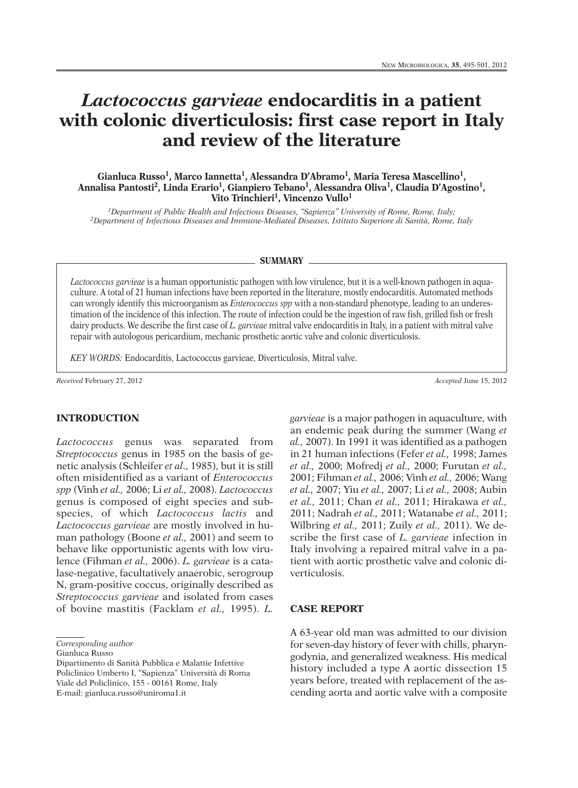# *Lactococcus garvieae* **endocarditis in a patient with colonic diverticulosis: first case report in Italy and review of the literature**

**Gianluca Russo1, Marco Iannetta1, Alessandra D'Abramo1, Maria Teresa Mascellino1, Annalisa Pantosti 2, Linda Erario1, Gianpiero Tebano1, Alessandra Oliva1, Claudia D'Agostino1, Vito Trinchieri 1, Vincenzo Vullo1**

*1Department of Public Health and Infectious Diseases, "Sapienza" University of Rome, Rome, Italy; 2Department of Infectious Diseases and Immune-Mediated Diseases, Istituto Superiore di Sanità, Rome, Italy*

#### **SUMMARY**

*Lactococcus garvieae* is a human opportunistic pathogen with low virulence, but it is a well-known pathogen in aquaculture. A total of 21 human infections have been reported in the literature, mostly endocarditis. Automated methods can wrongly identify this microorganism as *Enterococcus spp* with a non-standard phenotype, leading to an underestimation of the incidence of this infection. The route of infection could be the ingestion of raw fish, grilled fish or fresh dairy products. We describe the first case of *L. garvieae* mitral valve endocarditis in Italy, in a patient with mitral valve repair with autologous pericardium, mechanic prosthetic aortic valve and colonic diverticulosis.

*KEY WORDS:* Endocarditis, Lactococcus garvieae, Diverticulosis, Mitral valve.

*Received* February 27, 2012 *Accepted* June 15, 2012

## **INTRODUCTION**

*Lactococcus* genus was separated from *Streptococcus* genus in 1985 on the basis of genetic analysis (Schleifer *et al*., 1985), but it is still often misidentified as a variant of *Enterococcus spp* (Vinh *et al.,* 2006; Li *et al.,* 2008). *Lactococcus* genus is composed of eight species and subspecies, of which *Lactococcus lactis* and *Lactococcus garvieae* are mostly involved in human pathology (Boone *et al.,* 2001) and seem to behave like opportunistic agents with low virulence (Fihman *et al.,* 2006). *L. garvieae* is a catalase-negative, facultatively anaerobic, serogroup N, gram-positive coccus, originally described as *Streptococcus garvieae* and isolated from cases of bovine mastitis (Facklam *et al.,* 1995). *L.*

Gianluca Russo

*garvieae* is a major pathogen in aquaculture, with an endemic peak during the summer (Wang *et al.,* 2007). In 1991 it was identified as a pathogen in 21 human infections (Fefer *et al.,* 1998; James *et al.,* 2000; Mofredj *et al.,* 2000; Furutan *et al.,* 2001; Fihman *et al.,* 2006; Vinh *et al.,* 2006; Wang *et al.,* 2007; Yiu *et al.,* 2007; Li *et al.,* 2008; Aubin *et al.,* 2011; Chan *et al.,* 2011; Hirakawa *et al.,* 2011; Nadrah *et al.,* 2011; Watanabe *et al.,* 2011; Wilbring *et al.,* 2011; Zuily *et al.,* 2011). We describe the first case of *L. garvieae* infection in Italy involving a repaired mitral valve in a patient with aortic prosthetic valve and colonic diverticulosis.

#### **CASE REPORT**

A 63-year old man was admitted to our division for seven-day history of fever with chills, pharyngodynia, and generalized weakness. His medical history included a type A aortic dissection 15 years before, treated with replacement of the ascending aorta and aortic valve with a composite

*Corresponding author*

Dipartimento di Sanità Pubblica e Malattie Infettive Policlinico Umberto I, "Sapienza" Università di Roma Viale del Policlinico, 155 - 00161 Rome, Italy E-mail: gianluca.russo@uniroma1.it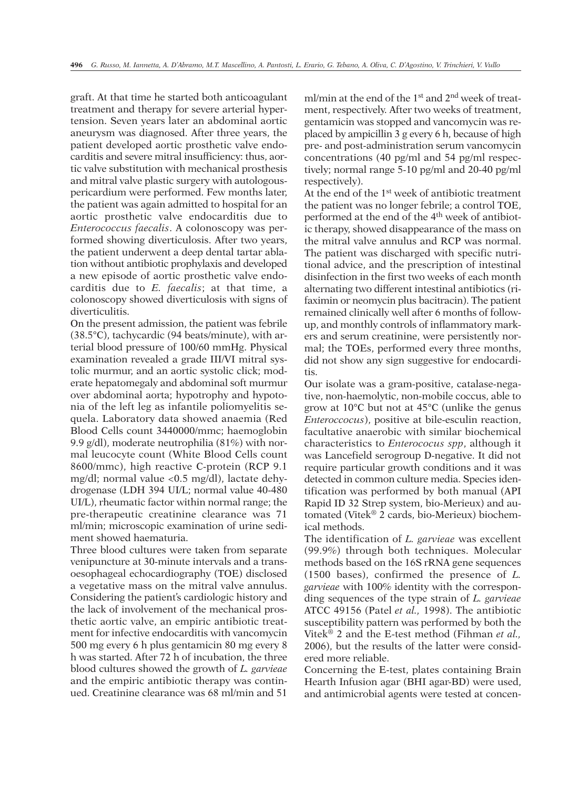graft. At that time he started both anticoagulant treatment and therapy for severe arterial hypertension. Seven years later an abdominal aortic aneurysm was diagnosed. After three years, the patient developed aortic prosthetic valve endocarditis and severe mitral insufficiency: thus, aortic valve substitution with mechanical prosthesis and mitral valve plastic surgery with autologouspericardium were performed. Few months later, the patient was again admitted to hospital for an aortic prosthetic valve endocarditis due to *Enterococcus faecalis*. A colonoscopy was performed showing diverticulosis. After two years, the patient underwent a deep dental tartar ablation without antibiotic prophylaxis and developed a new episode of aortic prosthetic valve endocarditis due to *E. faecalis*; at that time, a colonoscopy showed diverticulosis with signs of diverticulitis.

On the present admission, the patient was febrile (38.5°C), tachycardic (94 beats/minute), with arterial blood pressure of 100/60 mmHg. Physical examination revealed a grade III/VI mitral systolic murmur, and an aortic systolic click; moderate hepatomegaly and abdominal soft murmur over abdominal aorta; hypotrophy and hypotonia of the left leg as infantile poliomyelitis sequela. Laboratory data showed anaemia (Red Blood Cells count 3440000/mmc; haemoglobin 9.9 g/dl), moderate neutrophilia (81%) with normal leucocyte count (White Blood Cells count 8600/mmc), high reactive C-protein (RCP 9.1 mg/dl; normal value <0.5 mg/dl), lactate dehydrogenase (LDH 394 UI/L; normal value 40-480 UI/L), rheumatic factor within normal range; the pre-therapeutic creatinine clearance was 71 ml/min; microscopic examination of urine sediment showed haematuria.

Three blood cultures were taken from separate venipuncture at 30-minute intervals and a transoesophageal echocardiography (TOE) disclosed a vegetative mass on the mitral valve annulus. Considering the patient's cardiologic history and the lack of involvement of the mechanical prosthetic aortic valve, an empiric antibiotic treatment for infective endocarditis with vancomycin 500 mg every 6 h plus gentamicin 80 mg every 8 h was started. After 72 h of incubation, the three blood cultures showed the growth of *L. garvieae* and the empiric antibiotic therapy was continued. Creatinine clearance was 68 ml/min and 51

ml/min at the end of the 1<sup>st</sup> and 2<sup>nd</sup> week of treatment, respectively. After two weeks of treatment, gentamicin was stopped and vancomycin was replaced by ampicillin 3 g every 6 h, because of high pre- and post-administration serum vancomycin concentrations (40 pg/ml and 54 pg/ml respectively; normal range 5-10 pg/ml and 20-40 pg/ml respectively).

At the end of the 1st week of antibiotic treatment the patient was no longer febrile; a control TOE, performed at the end of the 4th week of antibiotic therapy, showed disappearance of the mass on the mitral valve annulus and RCP was normal. The patient was discharged with specific nutritional advice, and the prescription of intestinal disinfection in the first two weeks of each month alternating two different intestinal antibiotics (rifaximin or neomycin plus bacitracin). The patient remained clinically well after 6 months of followup, and monthly controls of inflammatory markers and serum creatinine, were persistently normal; the TOEs, performed every three months, did not show any sign suggestive for endocarditis.

Our isolate was a gram-positive, catalase-negative, non-haemolytic, non-mobile coccus, able to grow at 10°C but not at 45°C (unlike the genus *Enteroccocus*), positive at bile-esculin reaction, facultative anaerobic with similar biochemical characteristics to *Enterococus spp*, although it was Lancefield serogroup D-negative. It did not require particular growth conditions and it was detected in common culture media. Species identification was performed by both manual (API Rapid ID 32 Strep system, bio-Merieux) and automated (Vitek® 2 cards, bio-Merieux) biochemical methods.

The identification of *L. garvieae* was excellent (99.9%) through both techniques. Molecular methods based on the 16S rRNA gene sequences (1500 bases), confirmed the presence of *L. garvieae* with 100% identity with the corresponding sequences of the type strain of *L. garvieae* ATCC 49156 (Patel *et al.,* 1998). The antibiotic susceptibility pattern was performed by both the Vitek® 2 and the E-test method (Fihman *et al.,* 2006), but the results of the latter were considered more reliable.

Concerning the E-test, plates containing Brain Hearth Infusion agar (BHI agar-BD) were used, and antimicrobial agents were tested at concen-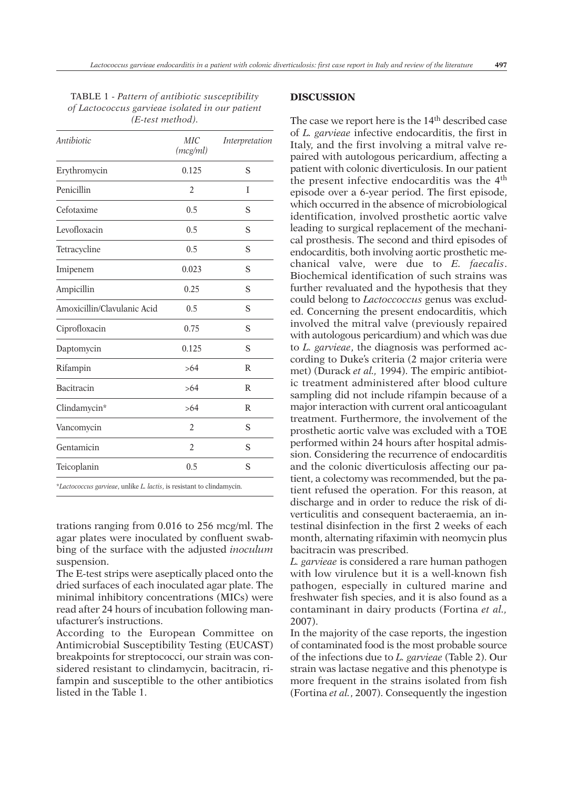| <b>TABLE 1 - Pattern of antibiotic susceptibility</b> |
|-------------------------------------------------------|
| of Lactococcus garvieae isolated in our patient       |
| (E-test method).                                      |

| Antibiotic                                                             | MIC<br>(mcg/ml) | Interpretation |
|------------------------------------------------------------------------|-----------------|----------------|
| Erythromycin                                                           | 0.125           | S              |
| Penicillin                                                             | $\overline{2}$  | I              |
| Cefotaxime                                                             | 0.5             | S              |
| Levofloxacin                                                           | 0.5             | S              |
| Tetracycline                                                           | 0.5             | S              |
| Imipenem                                                               | 0.023           | S              |
| Ampicillin                                                             | 0.25            | S              |
| Amoxicillin/Clavulanic Acid                                            | 0.5             | S              |
| Ciprofloxacin                                                          | 0.75            | S              |
| Daptomycin                                                             | 0.125           | S              |
| Rifampin                                                               | >64             | $\mathsf{R}$   |
| Bacitracin                                                             | >64             | R              |
| Clindamycin*                                                           | >64             | $\mathsf{R}$   |
| Vancomycin                                                             | $\overline{2}$  | S              |
| Gentamicin                                                             | $\overline{2}$  | S              |
| Teicoplanin                                                            | 0.5             | S              |
| $*I$ actorogonic complete unlike $I$ datic is resistant to elindamyoin |                 |                |

\**Lactococcus garvieae*, unlike *L. lactis*, is resistant to clindamycin.

trations ranging from 0.016 to 256 mcg/ml. The agar plates were inoculated by confluent swabbing of the surface with the adjusted *inoculum* suspension.

The E-test strips were aseptically placed onto the dried surfaces of each inoculated agar plate. The minimal inhibitory concentrations (MICs) were read after 24 hours of incubation following manufacturer's instructions.

According to the European Committee on Antimicrobial Susceptibility Testing (EUCAST) breakpoints for streptococci, our strain was considered resistant to clindamycin, bacitracin, rifampin and susceptible to the other antibiotics listed in the Table 1.

### **DISCUSSION**

The case we report here is the 14<sup>th</sup> described case of *L. garvieae* infective endocarditis, the first in Italy, and the first involving a mitral valve repaired with autologous pericardium, affecting a patient with colonic diverticulosis. In our patient the present infective endocarditis was the 4th episode over a 6-year period. The first episode, which occurred in the absence of microbiological identification, involved prosthetic aortic valve leading to surgical replacement of the mechanical prosthesis. The second and third episodes of endocarditis, both involving aortic prosthetic mechanical valve, were due to *E. faecalis*. Biochemical identification of such strains was further revaluated and the hypothesis that they could belong to *Lactoccoccus* genus was excluded. Concerning the present endocarditis, which involved the mitral valve (previously repaired with autologous pericardium) and which was due to *L. garvieae*, the diagnosis was performed according to Duke's criteria (2 major criteria were met) (Durack *et al.,* 1994). The empiric antibiotic treatment administered after blood culture sampling did not include rifampin because of a major interaction with current oral anticoagulant treatment. Furthermore, the involvement of the prosthetic aortic valve was excluded with a TOE performed within 24 hours after hospital admission. Considering the recurrence of endocarditis and the colonic diverticulosis affecting our patient, a colectomy was recommended, but the patient refused the operation. For this reason, at discharge and in order to reduce the risk of diverticulitis and consequent bacteraemia, an intestinal disinfection in the first 2 weeks of each month, alternating rifaximin with neomycin plus bacitracin was prescribed.

*L. garvieae* is considered a rare human pathogen with low virulence but it is a well-known fish pathogen, especially in cultured marine and freshwater fish species, and it is also found as a contaminant in dairy products (Fortina *et al.,* 2007).

In the majority of the case reports, the ingestion of contaminated food is the most probable source of the infections due to *L. garvieae* (Table 2). Our strain was lactase negative and this phenotype is more frequent in the strains isolated from fish (Fortina *et al.*, 2007). Consequently the ingestion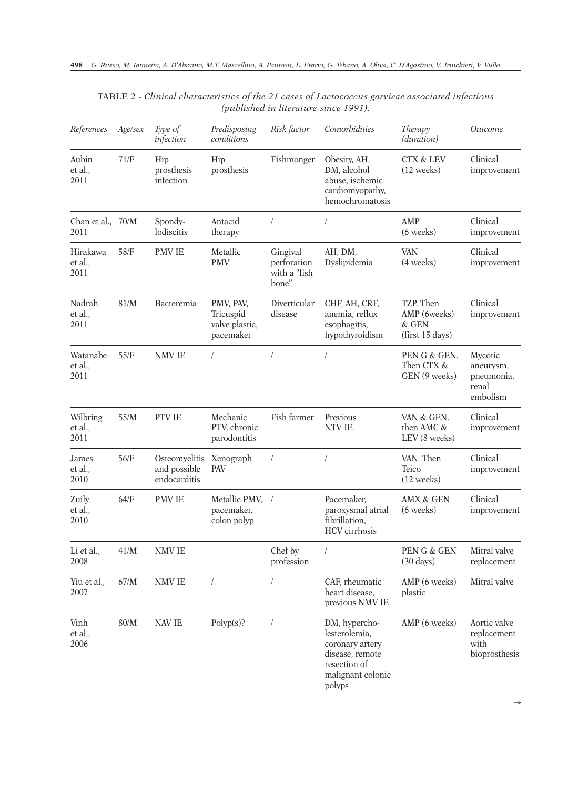| References                  | Age/sex | Type of<br>infection                          | Predisposing<br>conditions                            | Risk factor                                      | Comorbidities                                                                                                       | Therapy<br><i>(duration)</i>                          | <i><u><b>Outcome</b></u></i>                            |
|-----------------------------|---------|-----------------------------------------------|-------------------------------------------------------|--------------------------------------------------|---------------------------------------------------------------------------------------------------------------------|-------------------------------------------------------|---------------------------------------------------------|
| Aubin<br>et al.,<br>2011    | 71/F    | Hip<br>prosthesis<br>infection                | Hip<br>prosthesis                                     | Fishmonger                                       | Obesity, AH,<br>DM, alcohol<br>abuse, ischemic<br>cardiomyopathy,<br>hemochromatosis                                | <b>CTX &amp; LEV</b><br>$(12 \text{ weeks})$          | Clinical<br>improvement                                 |
| Chan et al., 70/M<br>2011   |         | Spondy-<br>lodiscitis                         | Antacid<br>therapy                                    | 1                                                | $\sqrt{2}$                                                                                                          | <b>AMP</b><br>$(6 \text{ weeks})$                     | Clinical<br>improvement                                 |
| Hirakawa<br>et al.,<br>2011 | 58/F    | <b>PMV IE</b>                                 | Metallic<br><b>PMV</b>                                | Gingival<br>perforation<br>with a "fish<br>bone" | AH, DM,<br>Dyslipidemia                                                                                             | <b>VAN</b><br>(4 weeks)                               | Clinical<br>improvement                                 |
| Nadrah<br>et al.,<br>2011   | 81/M    | Bacteremia                                    | PMV, PAV,<br>Tricuspid<br>valve plastic,<br>pacemaker | Diverticular<br>disease                          | CHF, AH, CRF,<br>anemia, reflux<br>esophagitis,<br>hypothyroidism                                                   | TZP. Then<br>AMP (6weeks)<br>& GEN<br>(first 15 days) | Clinical<br>improvement                                 |
| Watanabe<br>et al.,<br>2011 | 55/F    | <b>NMV IE</b>                                 | $\sqrt{2}$                                            | $\sqrt{2}$                                       | $\sqrt{2}$                                                                                                          | PEN G & GEN.<br>Then CTX &<br>GEN (9 weeks)           | Mycotic<br>aneurysm,<br>pneumonia,<br>renal<br>embolism |
| Wilbring<br>et al.,<br>2011 | 55/M    | PTV IE                                        | Mechanic<br>PTV, chronic<br>parodontitis              | Fish farmer                                      | Previous<br>NTV IE                                                                                                  | VAN & GEN.<br>then AMC &<br>LEV (8 weeks)             | Clinical<br>improvement                                 |
| James<br>et al.,<br>2010    | 56/F    | Osteomyelitis<br>and possible<br>endocarditis | Xenograph<br>PAV                                      | $\sqrt{2}$                                       | $\overline{1}$                                                                                                      | VAN. Then<br>Teico<br>$(12 \text{ weeks})$            | Clinical<br>improvement                                 |
| Zuily<br>et al.,<br>2010    | 64/F    | PMV IE                                        | Metallic PMV,<br>pacemaker,<br>colon polyp            | $\overline{1}$                                   | Pacemaker,<br>paroxysmal atrial<br>fibrillation,<br><b>HCV</b> cirrhosis                                            | AMX & GEN<br>$(6 \text{ weeks})$                      | Clinical<br>improvement                                 |
| Li et al.,<br>2008          | 41/M    | <b>NMV IE</b>                                 |                                                       | Chef by<br>profession                            | $\sqrt{2}$                                                                                                          | PEN G & GEN<br>$(30 \text{ days})$                    | Mitral valve<br>replacement                             |
| Yiu et al.,<br>2007         | 67/M    | NMV IE                                        |                                                       | $\sqrt{2}$                                       | CAF, rheumatic<br>heart disease,<br>previous NMV IE                                                                 | AMP (6 weeks)<br>plastic                              | Mitral valve                                            |
| Vinh<br>et al.,<br>2006     | 80/M    | NAV IE                                        | $Polyp(s)$ ?                                          | $\sqrt{2}$                                       | DM, hypercho-<br>lesterolemia,<br>coronary artery<br>disease, remote<br>resection of<br>malignant colonic<br>polyps | AMP (6 weeks)                                         | Aortic valve<br>replacement<br>with<br>bioprosthesis    |

TABLE 2 - *Clinical characteristics of the 21 cases of Lactococcus garvieae associated infections (published in literature since 1991).*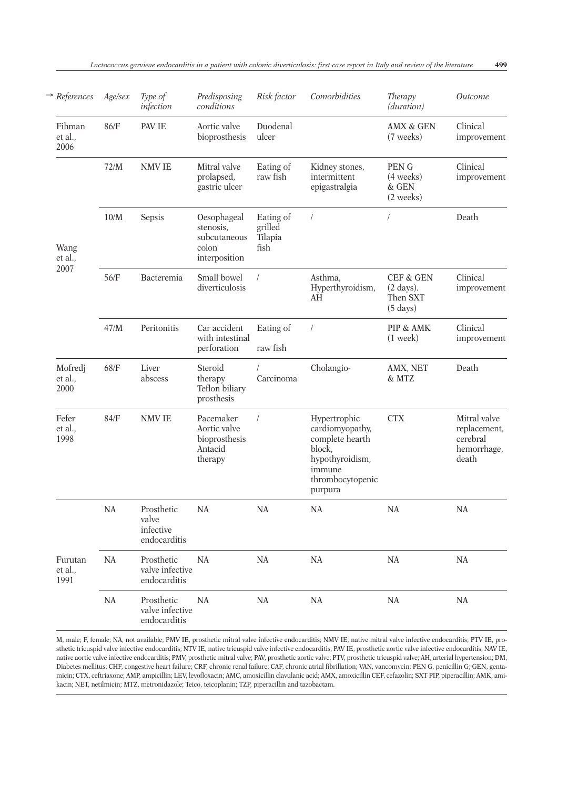| $\rightarrow$ References   | Age/sex   | Type of<br>infection                             | Predisposing<br>conditions                                         | Risk factor                             | Comorbidities                                                                                                            | Therapy<br>(duration)                                                         | <i><u>Outcome</u></i>                                            |
|----------------------------|-----------|--------------------------------------------------|--------------------------------------------------------------------|-----------------------------------------|--------------------------------------------------------------------------------------------------------------------------|-------------------------------------------------------------------------------|------------------------------------------------------------------|
| Fihman<br>et al.,<br>2006  | 86/F      | PAV IE                                           | Aortic valve<br>bioprosthesis                                      | Duodenal<br>ulcer                       |                                                                                                                          | AMX & GEN<br>(7 weeks)                                                        | Clinical<br>improvement                                          |
|                            | 72/M      | <b>NMV IE</b>                                    | Mitral valve<br>prolapsed,<br>gastric ulcer                        | Eating of<br>raw fish                   | Kidney stones,<br>intermittent<br>epigastralgia                                                                          | PEN G<br>(4 weeks)<br>& GEN<br>(2 weeks)                                      | Clinical<br>improvement                                          |
| Wang<br>et al.,<br>2007    | $10/M$    | Sepsis                                           | Oesophageal<br>stenosis,<br>subcutaneous<br>colon<br>interposition | Eating of<br>grilled<br>Tilapia<br>fish | T                                                                                                                        | T                                                                             | Death                                                            |
|                            | 56/F      | Bacteremia                                       | Small bowel<br>diverticulosis                                      | $\sqrt{2}$                              | Asthma,<br>Hyperthyroidism,<br>AH                                                                                        | <b>CEF &amp; GEN</b><br>$(2 \text{ days}).$<br>Then SXT<br>$(5 \text{ days})$ | Clinical<br>improvement                                          |
|                            | 47/M      | Peritonitis                                      | Car accident<br>with intestinal<br>perforation                     | Eating of<br>raw fish                   | $\overline{1}$                                                                                                           | PIP & AMK<br>$(1$ week $)$                                                    | Clinical<br>improvement                                          |
| Mofredj<br>et al.,<br>2000 | 68/F      | Liver<br>abscess                                 | Steroid<br>therapy<br>Teflon biliary<br>prosthesis                 | Carcinoma                               | Cholangio-                                                                                                               | AMX, NET<br>& MTZ                                                             | Death                                                            |
| Fefer<br>et al.,<br>1998   | 84/F      | NMV IE                                           | Pacemaker<br>Aortic valve<br>bioprosthesis<br>Antacid<br>therapy   | $\sqrt{2}$                              | Hypertrophic<br>cardiomyopathy,<br>complete hearth<br>block,<br>hypothyroidism,<br>immune<br>thrombocytopenic<br>purpura | <b>CTX</b>                                                                    | Mitral valve<br>replacement,<br>cerebral<br>hemorrhage,<br>death |
|                            | <b>NA</b> | Prosthetic<br>valve<br>infective<br>endocarditis | <b>NA</b>                                                          | <b>NA</b>                               | <b>NA</b>                                                                                                                | <b>NA</b>                                                                     | <b>NA</b>                                                        |
| Furutan<br>et al.,<br>1991 | $\rm NA$  | Prosthetic<br>valve infective<br>endocarditis    | <b>NA</b>                                                          | NA                                      | NA                                                                                                                       | NA                                                                            | $\rm NA$                                                         |
|                            | $\rm NA$  | Prosthetic<br>valve infective<br>endocarditis    | NA                                                                 | $\rm NA$                                | $\rm NA$                                                                                                                 | NA                                                                            | $\rm NA$                                                         |

M, male; F, female; NA, not available; PMV IE, prosthetic mitral valve infective endocarditis; NMV IE, native mitral valve infective endocarditis; PTV IE, prosthetic tricuspid valve infective endocarditis; NTV IE, native tricuspid valve infective endocarditis; PAV IE, prosthetic aortic valve infective endocarditis; NAV IE, native aortic valve infective endocarditis; PMV, prosthetic mitral valve; PAV, prosthetic aortic valve; PTV, prosthetic tricuspid valve; AH, arterial hypertension; DM, Diabetes mellitus; CHF, congestive heart failure; CRF, chronic renal failure; CAF, chronic atrial fibrillation; VAN, vancomycin; PEN G, penicillin G; GEN, gentamicin; CTX, ceftriaxone; AMP, ampicillin; LEV, levofloxacin; AMC, amoxicillin clavulanic acid; AMX, amoxicillin CEF, cefazolin; SXT PIP, piperacillin; AMK, amikacin; NET, netilmicin; MTZ, metronidazole; Teico, teicoplanin; TZP, piperacillin and tazobactam.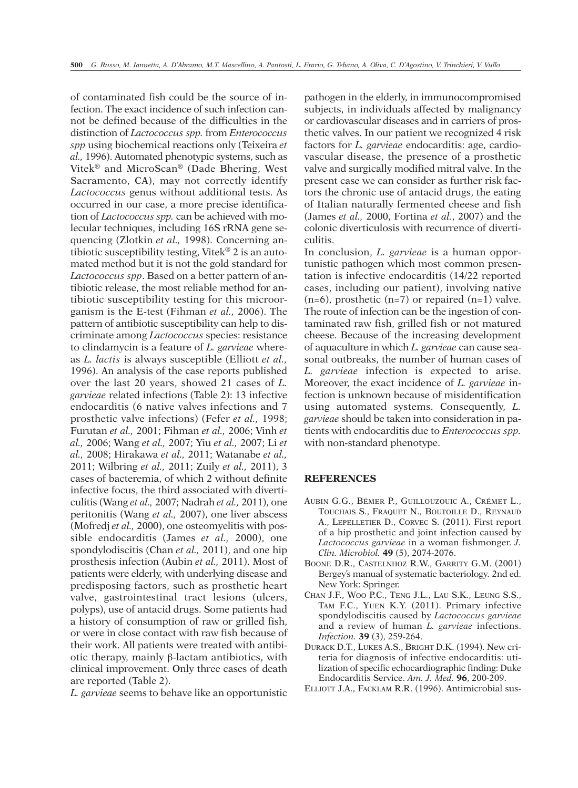of contaminated fish could be the source of infection. The exact incidence of such infection cannot be defined because of the difficulties in the distinction of *Lactococcus spp.* from *Enterococcus spp* using biochemical reactions only (Teixeira *et al.,* 1996). Automated phenotypic systems, such as Vitek® and MicroScan® (Dade Bhering, West Sacramento, CA), may not correctly identify *Lactococcus* genus without additional tests. As occurred in our case, a more precise identification of *Lactococcus spp.* can be achieved with molecular techniques, including 16S rRNA gene sequencing (Zlotkin *et al.,* 1998). Concerning antibiotic susceptibility testing, Vitek<sup>®</sup> 2 is an automated method but it is not the gold standard for *Lactococcus spp*. Based on a better pattern of antibiotic release, the most reliable method for antibiotic susceptibility testing for this microorganism is the E-test (Fihman *et al.,* 2006). The pattern of antibiotic susceptibility can help to discriminate among *Lactococcus* species: resistance to clindamycin is a feature of *L. garvieae* whereas *L. lactis* is always susceptible (Elliott *et al.,* 1996). An analysis of the case reports published over the last 20 years, showed 21 cases of *L. garvieae* related infections (Table 2): 13 infective endocarditis (6 native valves infections and 7 prosthetic valve infections) (Fefer *et al.,* 1998; Furutan *et al.,* 2001; Fihman *et al.,* 2006; Vinh *et al.,* 2006; Wang *et al.,* 2007; Yiu *et al.,* 2007; Li *et al.,* 2008; Hirakawa *et al.,* 2011; Watanabe *et al.,* 2011; Wilbring *et al.,* 2011; Zuily *et al.,* 2011), 3 cases of bacteremia, of which 2 without definite infective focus, the third associated with diverticulitis (Wang *et al.,* 2007; Nadrah *et al.,* 2011), one peritonitis (Wang *et al.,* 2007), one liver abscess (Mofredj *et al.,* 2000), one osteomyelitis with possible endocarditis (James *et al.,* 2000), one spondylodiscitis (Chan *et al.,* 2011), and one hip prosthesis infection (Aubin *et al.,* 2011). Most of patients were elderly, with underlying disease and predisposing factors, such as prosthetic heart valve, gastrointestinal tract lesions (ulcers, polyps), use of antacid drugs. Some patients had a history of consumption of raw or grilled fish, or were in close contact with raw fish because of their work. All patients were treated with antibiotic therapy, mainly β-lactam antibiotics, with clinical improvement. Only three cases of death are reported (Table 2).

*L. garvieae* seems to behave like an opportunistic

pathogen in the elderly, in immunocompromised subjects, in individuals affected by malignancy or cardiovascular diseases and in carriers of prosthetic valves. In our patient we recognized 4 risk factors for *L. garvieae* endocarditis: age, cardiovascular disease, the presence of a prosthetic valve and surgically modified mitral valve. In the present case we can consider as further risk factors the chronic use of antacid drugs, the eating of Italian naturally fermented cheese and fish (James *et al.,* 2000, Fortina *et al.*, 2007) and the colonic diverticulosis with recurrence of diverticulitis.

In conclusion, *L. garvieae* is a human opportunistic pathogen which most common presentation is infective endocarditis (14/22 reported cases, including our patient), involving native  $(n=6)$ , prosthetic  $(n=7)$  or repaired  $(n=1)$  valve. The route of infection can be the ingestion of contaminated raw fish, grilled fish or not matured cheese. Because of the increasing development of aquaculture in which *L. garvieae* can cause seasonal outbreaks, the number of human cases of *L. garvieae* infection is expected to arise. Moreover, the exact incidence of *L. garvieae* infection is unknown because of misidentification using automated systems. Consequently, *L. garvieae* should be taken into consideration in patients with endocarditis due to *Enterococcus spp.* with non-standard phenotype.

#### **REFERENCES**

- AUBIN G.G., BÉMER P., GUILLOUZOUIC A., CRÉMET L., TOUCHAIS S., FRAQUET N., BOUTOILLE D., REYNAUD A., LEPELLETIER D., CORVEC S. (2011). First report of a hip prosthetic and joint infection caused by *Lactococcus garvieae* in a woman fishmonger. *J. Clin. Microbiol.* **49** (5), 2074-2076.
- BOONE D.R., CASTELNHOZ R.W., GARRITY G.M. (2001) Bergey's manual of systematic bacteriology*.* 2nd ed. New York: Springer.
- CHAN J.F., WOO P.C., TENG J.L., LAU S.K., LEUNG S.S., TAM F.C., YUEN K.Y. (2011). Primary infective spondylodiscitis caused by *Lactococcus garvieae* and a review of human *L. garvieae* infections. *Infection.* **39** (3), 259-264.
- DURACK D.T., LUKES A.S., BRIGHT D.K. (1994). New criteria for diagnosis of infective endocarditis: utilization of specific echocardiographic finding: Duke Endocarditis Service. *Am. J. Med.* **96**, 200-209.
- ELLIOTT J.A., FACKLAM R.R. (1996). Antimicrobial sus-